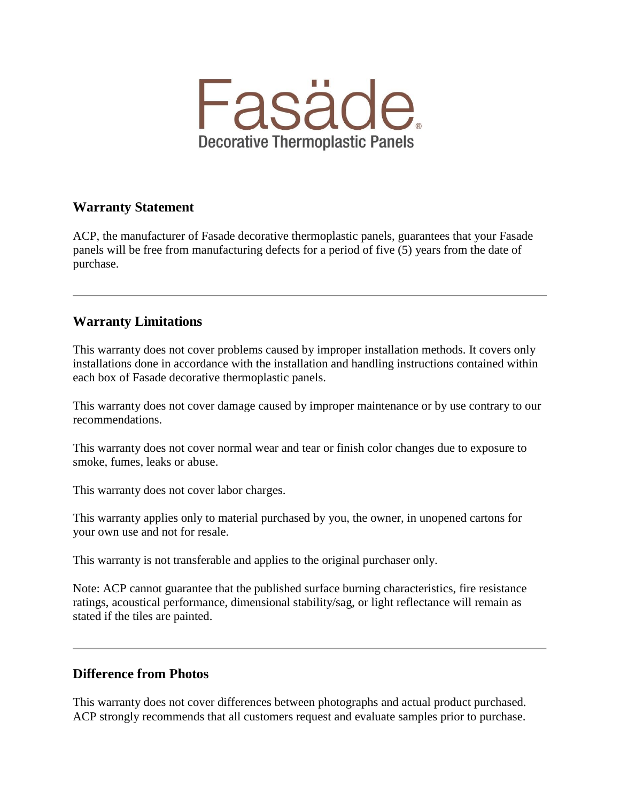

# **Warranty Statement**

ACP, the manufacturer of Fasade decorative thermoplastic panels, guarantees that your Fasade panels will be free from manufacturing defects for a period of five (5) years from the date of purchase.

# **Warranty Limitations**

This warranty does not cover problems caused by improper installation methods. It covers only installations done in accordance with the installation and handling instructions contained within each box of Fasade decorative thermoplastic panels.

This warranty does not cover damage caused by improper maintenance or by use contrary to our recommendations.

This warranty does not cover normal wear and tear or finish color changes due to exposure to smoke, fumes, leaks or abuse.

This warranty does not cover labor charges.

This warranty applies only to material purchased by you, the owner, in unopened cartons for your own use and not for resale.

This warranty is not transferable and applies to the original purchaser only.

Note: ACP cannot guarantee that the published surface burning characteristics, fire resistance ratings, acoustical performance, dimensional stability/sag, or light reflectance will remain as stated if the tiles are painted.

## **Difference from Photos**

This warranty does not cover differences between photographs and actual product purchased. ACP strongly recommends that all customers request and evaluate samples prior to purchase.